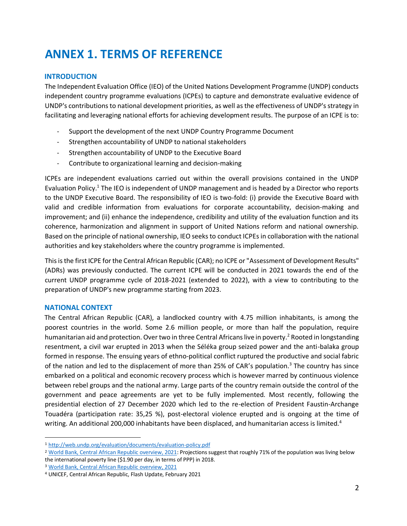# **ANNEX 1. TERMS OF REFERENCE**

# **INTRODUCTION**

The Independent Evaluation Office (IEO) of the United Nations Development Programme (UNDP) conducts independent country programme evaluations (ICPEs) to capture and demonstrate evaluative evidence of UNDP's contributions to national development priorities, as well as the effectiveness of UNDP's strategy in facilitating and leveraging national efforts for achieving development results. The purpose of an ICPE is to:

- Support the development of the next UNDP Country Programme Document
- Strengthen accountability of UNDP to national stakeholders
- Strengthen accountability of UNDP to the Executive Board
- Contribute to organizational learning and decision-making

ICPEs are independent evaluations carried out within the overall provisions contained in the UNDP Evaluation Policy.<sup>1</sup> The IEO is independent of UNDP management and is headed by a Director who reports to the UNDP Executive Board. The responsibility of IEO is two-fold: (i) provide the Executive Board with valid and credible information from evaluations for corporate accountability, decision-making and improvement; and (ii) enhance the independence, credibility and utility of the evaluation function and its coherence, harmonization and alignment in support of United Nations reform and national ownership. Based on the principle of national ownership, IEO seeks to conduct ICPEs in collaboration with the national authorities and key stakeholders where the country programme is implemented.

This is the first ICPE for the Central African Republic (CAR); no ICPE or "Assessment of Development Results" (ADRs) was previously conducted. The current ICPE will be conducted in 2021 towards the end of the current UNDP programme cycle of 2018-2021 (extended to 2022), with a view to contributing to the preparation of UNDP's new programme starting from 2023.

# **NATIONAL CONTEXT**

The Central African Republic (CAR), a landlocked country with 4.75 million inhabitants, is among the poorest countries in the world. Some 2.6 million people, or more than half the population, require humanitarian aid and protection. Over two in three Central Africans live in poverty.<sup>2</sup> Rooted in longstanding resentment, a civil war erupted in 2013 when the Séléka group seized power and the anti-balaka group formed in response. The ensuing years of ethno-political conflict ruptured the productive and social fabric of the nation and led to the displacement of more than 25% of CAR's population.<sup>3</sup> The country has since embarked on a political and economic recovery process which is however marred by continuous violence between rebel groups and the national army. Large parts of the country remain outside the control of the government and peace agreements are yet to be fully implemented. Most recently, following the presidential election of 27 December 2020 which led to the re-election of President Faustin-Archange Touadéra (participation rate: 35,25 %), post-electoral violence erupted and is ongoing at the time of writing. An additional 200,000 inhabitants have been displaced, and humanitarian access is limited.<sup>4</sup>

<sup>1</sup> [http://web.undp.org/evaluation/documents/evaluation-policy.pdf](about:blank) 

<sup>&</sup>lt;sup>2</sup> [World Bank, Central African Republic overview, 2021:](about:blank) Projections suggest that roughly 71% of the population was living below the international poverty line (\$1.90 per day, in terms of PPP) in 2018.

<sup>3</sup> [World Bank, Central African Republic overview, 2021](about:blank) 

<sup>4</sup> UNICEF, Central African Republic, Flash Update, February 2021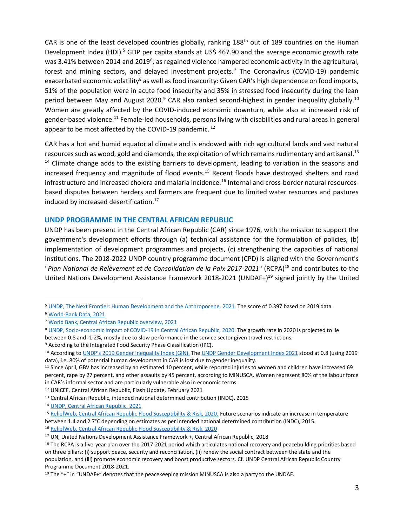CAR is one of the least developed countries globally, ranking 188<sup>th</sup> out of 189 countries on the Human Development Index (HDI).<sup>5</sup> GDP per capita stands at US\$ 467.90 and the average economic growth rate was 3.41% between 2014 and 2019<sup>6</sup>, as regained violence hampered economic activity in the agricultural, forest and mining sectors, and delayed investment projects.<sup>7</sup> The Coronavirus (COVID-19) pandemic exacerbated economic volatility<sup>8</sup> as well as food insecurity: Given CAR's high dependence on food imports, 51% of the population were in acute food insecurity and 35% in stressed food insecurity during the lean period between May and August 2020.<sup>9</sup> CAR also ranked second-highest in gender inequality globally.<sup>10</sup> Women are greatly affected by the COVID-induced economic downturn, while also at increased risk of gender-based violence.<sup>11</sup> Female-led households, persons living with disabilities and rural areas in general appear to be most affected by the COVID-19 pandemic.<sup>12</sup>

CAR has a hot and humid equatorial climate and is endowed with rich agricultural lands and vast natural resources such as wood, gold and diamonds, the exploitation of which remains rudimentary and artisanal.<sup>13</sup>  $<sup>14</sup>$  Climate change adds to the existing barriers to development, leading to variation in the seasons and</sup> increased frequency and magnitude of flood events.<sup>15</sup> Recent floods have destroyed shelters and road infrastructure and increased cholera and malaria incidence.<sup>16</sup> Internal and cross-border natural resourcesbased disputes between herders and farmers are frequent due to limited water resources and pastures induced by increased desertification.<sup>17</sup>

#### **UNDP PROGRAMME IN THE CENTRAL AFRICAN REPUBLIC**

UNDP has been present in the Central African Republic (CAR) since 1976, with the mission to support the government's development efforts through (a) technical assistance for the formulation of policies, (b) implementation of development programmes and projects, (c) strengthening the capacities of national institutions. The 2018-2022 UNDP country programme document (CPD) is aligned with the Government's "Plan National de Relèvement et de Consolidation de la Paix 2017-2021" (RCPA)<sup>18</sup> and contributes to the United Nations Development Assistance Framework 2018-2021 (UNDAF+)<sup>19</sup> signed jointly by the United

16 [ReliefWeb, Central African Republic Flood Susceptibility & Risk, 2020](about:blank)

<sup>&</sup>lt;sup>5</sup> [UNDP, The Next Frontier: Human Development and the](about:blank) [Anthropocene, 2021.](about:blank) The score of 0.397 based on 2019 data.

<sup>6</sup> [World-Bank Data, 2021](about:blank)

<sup>7</sup> [World Bank, Central African Republic overview, 2021](about:blank)

<sup>8</sup> [UNDP, Socio-economic impact of COVID-19 in Central African Republic, 2020.](about:blank) The growth rate in 2020 is projected to lie between 0.8 and -1.2%, mostly due to slow performance in the service sector given travel restrictions.

<sup>9</sup> According to the Integrated Food Security Phase Classification (IPC).

<sup>10</sup> According [to](about:blank) [UNDP's 2019 Gender Inequality](about:blank) [Index \(GIN\).](about:blank) Th[e](about:blank) [UNDP Gender Development Index 2021](about:blank) [st](about:blank)ood at 0.8 (using 2019 data), i.e. 80% of potential human development in CAR is lost due to gender inequality.

<sup>&</sup>lt;sup>11</sup> Since April, GBV has increased by an estimated 10 percent, while reported injuries to women and children have increased 69 percent, rape by 27 percent, and other assaults by 45 percent, according to MINUSCA. Women represent 80% of the labour force in CAR's informal sector and are particularly vulnerable also in economic terms.

<sup>12</sup> UNICEF, Central African Republic, Flash Update, February 2021

<sup>13</sup> Central African Republic, intended national determined contribution (INDC), 2015

<sup>14</sup> [UNDP, Central African Republic, 2021](about:blank)

<sup>15</sup> [ReliefWeb, Central African Republic Flood Susceptibility & Risk, 2020.](about:blank) [Fu](about:blank)ture scenarios indicate an increase in temperature between 1.4 and 2.7°C depending on estimates as per intended national determined contribution (INDC), 2015.

<sup>17</sup> UN, United Nations Development Assistance Framework +, Central African Republic, 2018

<sup>&</sup>lt;sup>18</sup> The RCPA is a five-year plan over the 2017-2021 period which articulates national recovery and peacebuilding priorities based on three pillars: (i) support peace, security and reconciliation, (ii) renew the social contract between the state and the population, and (iii) promote economic recovery and boost productive sectors. Cf. UNDP Central African Republic Country Programme Document 2018-2021.

<sup>19</sup> The "+" in "UNDAF+" denotes that the peacekeeping mission MINUSCA is also a party to the UNDAF.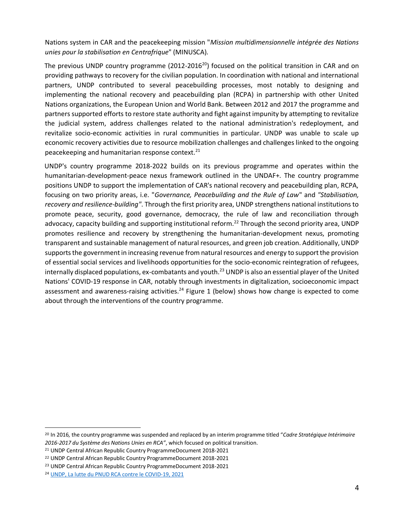Nations system in CAR and the peacekeeping mission "*Mission multidimensionnelle intégrée des Nations unies pour la stabilisation en Centrafrique*" (MINUSCA).

The previous UNDP country programme (2012-2016<sup>20</sup>) focused on the political transition in CAR and on providing pathways to recovery for the civilian population. In coordination with national and international partners, UNDP contributed to several peacebuilding processes, most notably to designing and implementing the national recovery and peacebuilding plan (RCPA) in partnership with other United Nations organizations, the European Union and World Bank. Between 2012 and 2017 the programme and partners supported efforts to restore state authority and fight against impunity by attempting to revitalize the judicial system, address challenges related to the national administration's redeployment, and revitalize socio-economic activities in rural communities in particular. UNDP was unable to scale up economic recovery activities due to resource mobilization challenges and challenges linked to the ongoing peacekeeping and humanitarian response context. $21$ 

UNDP's country programme 2018-2022 builds on its previous programme and operates within the humanitarian-development-peace nexus framework outlined in the UNDAF+. The country programme positions UNDP to support the implementation of CAR's national recovery and peacebuilding plan, RCPA, focusing on two priority areas, i.e. "*Governance, Peacebuilding and the Rule of Law*" and *"Stabilisation, recovery and resilience-building"*. Through the first priority area, UNDP strengthens national institutions to promote peace, security, good governance, democracy, the rule of law and reconciliation through advocacy, capacity building and supporting institutional reform.<sup>22</sup> Through the second priority area, UNDP promotes resilience and recovery by strengthening the humanitarian-development nexus, promoting transparent and sustainable management of natural resources, and green job creation. Additionally, UNDP supports the government in increasing revenue from natural resources and energy to support the provision of essential social services and livelihoods opportunities for the socio-economic reintegration of refugees, internally displaced populations, ex-combatants and youth. $^{23}$  UNDP is also an essential player of the United Nations' COVID-19 response in CAR, notably through investments in digitalization, socioeconomic impact assessment and awareness-raising activities.<sup>24</sup> Figure 1 (below) shows how change is expected to come about through the interventions of the country programme.

<sup>20</sup> In 2016, the country programme was suspended and replaced by an interim programme titled "*Cadre Stratégique Intérimaire 2016-2017 du Système des Nations Unies en RCA"*, which focused on political transition.

<sup>21</sup> UNDP Central African Republic Country ProgrammeDocument 2018-2021

<sup>22</sup> UNDP Central African Republic Country ProgrammeDocument 2018-2021

<sup>23</sup> UNDP Central African Republic Country ProgrammeDocument 2018-2021

<sup>24</sup> [UNDP, La lutte du PNUD RCA contre le COVID-19, 2021](about:blank)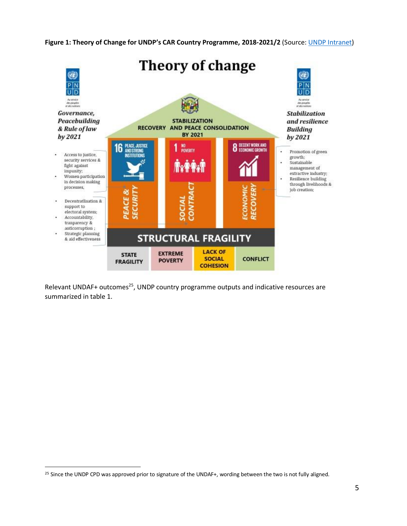**Figure 1: Theory of Change for UNDP's CAR Country Programme, 2018-2021/2** (Source: [UNDP Intranet\)](about:blank)



Relevant UNDAF+ outcomes<sup>25</sup>, UNDP country programme outputs and indicative resources are summarized in table 1.

<sup>&</sup>lt;sup>25</sup> Since the UNDP CPD was approved prior to signature of the UNDAF+, wording between the two is not fully aligned.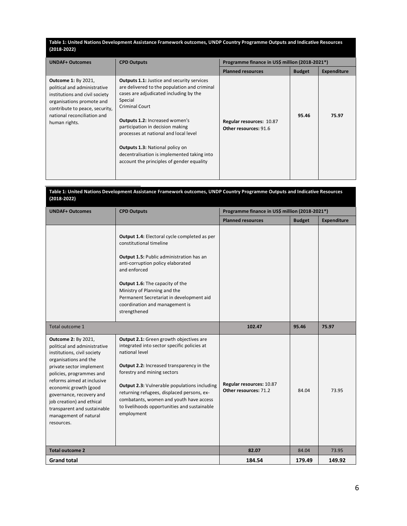#### **Table 1: United Nations Development Assistance Framework outcomes, UNDP Country Programme Outputs and Indicative Resources (2018-2022)**

| <b>UNDAF+ Outcomes</b>                                                                                                                                                                                      | <b>CPD Outputs</b>                                                                                                                                                                                                                                                                                                                                                                                                                          | Programme finance in US\$ million (2018-2021*)    |               |                    |
|-------------------------------------------------------------------------------------------------------------------------------------------------------------------------------------------------------------|---------------------------------------------------------------------------------------------------------------------------------------------------------------------------------------------------------------------------------------------------------------------------------------------------------------------------------------------------------------------------------------------------------------------------------------------|---------------------------------------------------|---------------|--------------------|
|                                                                                                                                                                                                             |                                                                                                                                                                                                                                                                                                                                                                                                                                             | <b>Planned resources</b>                          | <b>Budget</b> | <b>Expenditure</b> |
| <b>Outcome 1: By 2021,</b><br>political and administrative<br>institutions and civil society<br>organisations promote and<br>contribute to peace, security,<br>national reconciliation and<br>human rights. | <b>Outputs 1.1:</b> Justice and security services<br>are delivered to the population and criminal<br>cases are adjudicated including by the<br>Special<br><b>Criminal Court</b><br><b>Outputs 1.2: Increased women's</b><br>participation in decision making<br>processes at national and local level<br><b>Outputs 1.3: National policy on</b><br>decentralisation is implemented taking into<br>account the principles of gender equality | Regular resources: 10.87<br>Other resources: 91.6 | 95.46         | 75.97              |

| Table 1: United Nations Development Assistance Framework outcomes, UNDP Country Programme Outputs and Indicative Resources<br>$(2018 - 2022)$                                                                                                                                                                                                                    |                                                                                                                                                                                                                                                                                                                                                                                                    |                                                   |               |                    |
|------------------------------------------------------------------------------------------------------------------------------------------------------------------------------------------------------------------------------------------------------------------------------------------------------------------------------------------------------------------|----------------------------------------------------------------------------------------------------------------------------------------------------------------------------------------------------------------------------------------------------------------------------------------------------------------------------------------------------------------------------------------------------|---------------------------------------------------|---------------|--------------------|
| <b>UNDAF+ Outcomes</b>                                                                                                                                                                                                                                                                                                                                           | <b>CPD Outputs</b>                                                                                                                                                                                                                                                                                                                                                                                 | Programme finance in US\$ million (2018-2021*)    |               |                    |
|                                                                                                                                                                                                                                                                                                                                                                  |                                                                                                                                                                                                                                                                                                                                                                                                    | <b>Planned resources</b>                          | <b>Budget</b> | <b>Expenditure</b> |
|                                                                                                                                                                                                                                                                                                                                                                  | <b>Output 1.4: Electoral cycle completed as per</b><br>constitutional timeline<br>Output 1.5: Public administration has an<br>anti-corruption policy elaborated<br>and enforced<br>Output 1.6: The capacity of the<br>Ministry of Planning and the<br>Permanent Secretariat in development aid<br>coordination and management is<br>strengthened                                                   |                                                   |               |                    |
| Total outcome 1                                                                                                                                                                                                                                                                                                                                                  |                                                                                                                                                                                                                                                                                                                                                                                                    | 102.47                                            | 95.46         | 75.97              |
| <b>Outcome 2: By 2021,</b><br>political and administrative<br>institutions, civil society<br>organisations and the<br>private sector implement<br>policies, programmes and<br>reforms aimed at inclusive<br>economic growth (good<br>governance, recovery and<br>job creation) and ethical<br>transparent and sustainable<br>management of natural<br>resources. | Output 2.1: Green growth objectives are<br>integrated into sector specific policies at<br>national level<br>Output 2.2: Increased transparency in the<br>forestry and mining sectors<br><b>Output 2.3:</b> Vulnerable populations including<br>returning refugees, displaced persons, ex-<br>combatants, women and youth have access<br>to livelihoods opportunities and sustainable<br>employment | Regular resources: 10.87<br>Other resources: 71.2 | 84.04         | 73.95              |
| <b>Total outcome 2</b>                                                                                                                                                                                                                                                                                                                                           |                                                                                                                                                                                                                                                                                                                                                                                                    | 82.07                                             | 84.04         | 73.95              |
| <b>Grand total</b>                                                                                                                                                                                                                                                                                                                                               |                                                                                                                                                                                                                                                                                                                                                                                                    | 184.54                                            | 179.49        | 149.92             |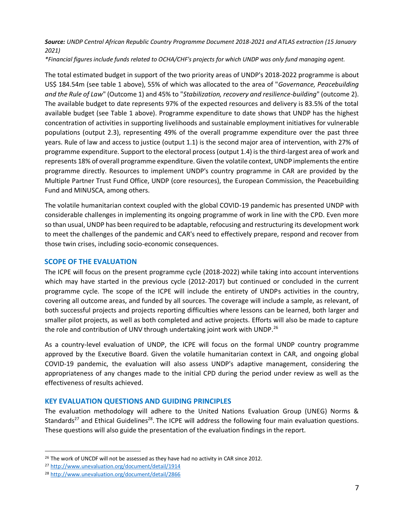# *Source: UNDP Central African Republic Country Programme Document 2018-2021 and ATLAS extraction (15 January 2021)*

*\*Financial figures include funds related to OCHA/CHF's projects for which UNDP was only fund managing agent.* 

The total estimated budget in support of the two priority areas of UNDP's 2018-2022 programme is about US\$ 184.54m (see table 1 above), 55% of which was allocated to the area of "*Governance, Peacebuilding and the Rule of Law*" (Outcome 1) and 45% to "*Stabilization, recovery and resilience-building*" (outcome 2). The available budget to date represents 97% of the expected resources and delivery is 83.5% of the total available budget (see Table 1 above). Programme expenditure to date shows that UNDP has the highest concentration of activities in supporting livelihoods and sustainable employment initiatives for vulnerable populations (output 2.3), representing 49% of the overall programme expenditure over the past three years. Rule of law and access to justice (output 1.1) is the second major area of intervention, with 27% of programme expenditure. Support to the electoral process (output 1.4) is the third-largest area of work and represents 18% of overall programme expenditure. Given the volatile context, UNDP implements the entire programme directly. Resources to implement UNDP's country programme in CAR are provided by the Multiple Partner Trust Fund Office, UNDP (core resources), the European Commission, the Peacebuilding Fund and MINUSCA, among others.

The volatile humanitarian context coupled with the global COVID-19 pandemic has presented UNDP with considerable challenges in implementing its ongoing programme of work in line with the CPD. Even more so than usual, UNDP has been required to be adaptable, refocusing and restructuring its development work to meet the challenges of the pandemic and CAR's need to effectively prepare, respond and recover from those twin crises, including socio-economic consequences.

# **SCOPE OF THE EVALUATION**

The ICPE will focus on the present programme cycle (2018-2022) while taking into account interventions which may have started in the previous cycle (2012-2017) but continued or concluded in the current programme cycle. The scope of the ICPE will include the entirety of UNDPs activities in the country, covering all outcome areas, and funded by all sources. The coverage will include a sample, as relevant, of both successful projects and projects reporting difficulties where lessons can be learned, both larger and smaller pilot projects, as well as both completed and active projects. Efforts will also be made to capture the role and contribution of UNV through undertaking joint work with UNDP.<sup>26</sup>

As a country-level evaluation of UNDP, the ICPE will focus on the formal UNDP country programme approved by the Executive Board. Given the volatile humanitarian context in CAR, and ongoing global COVID-19 pandemic, the evaluation will also assess UNDP's adaptive management, considering the appropriateness of any changes made to the initial CPD during the period under review as well as the effectiveness of results achieved.

# **KEY EVALUATION QUESTIONS AND GUIDING PRINCIPLES**

The evaluation methodology will adhere to the United Nations Evaluation Group (UNEG) Norms & Standards<sup>27</sup> and Ethical Guidelines<sup>28</sup>. The ICPE will address the following four main evaluation questions. These questions will also guide the presentation of the evaluation findings in the report.

<sup>&</sup>lt;sup>26</sup> The work of UNCDF will not be assessed as they have had no activity in CAR since 2012.

<sup>27</sup> [http://www.unevaluation.org/document/detail/1914](about:blank)

<sup>28</sup> [http://www.unevaluation.org/document/detail/2866](about:blank)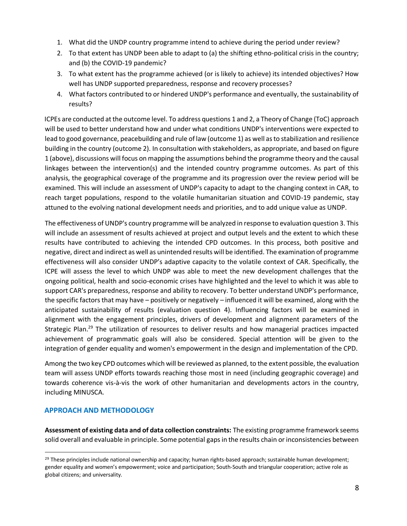- 1. What did the UNDP country programme intend to achieve during the period under review?
- 2. To that extent has UNDP been able to adapt to (a) the shifting ethno-political crisis in the country; and (b) the COVID-19 pandemic?
- 3. To what extent has the programme achieved (or is likely to achieve) its intended objectives? How well has UNDP supported preparedness, response and recovery processes?
- 4. What factors contributed to or hindered UNDP's performance and eventually, the sustainability of results?

ICPEs are conducted at the outcome level. To address questions 1 and 2, a Theory of Change (ToC) approach will be used to better understand how and under what conditions UNDP's interventions were expected to lead to good governance, peacebuilding and rule of law (outcome 1) as well as to stabilization and resilience building in the country (outcome 2). In consultation with stakeholders, as appropriate, and based on figure 1 (above), discussions will focus on mapping the assumptions behind the programme theory and the causal linkages between the intervention(s) and the intended country programme outcomes. As part of this analysis, the geographical coverage of the programme and its progression over the review period will be examined. This will include an assessment of UNDP's capacity to adapt to the changing context in CAR, to reach target populations, respond to the volatile humanitarian situation and COVID-19 pandemic, stay attuned to the evolving national development needs and priorities, and to add unique value as UNDP.

The effectiveness of UNDP's country programme will be analyzed in response to evaluation question 3. This will include an assessment of results achieved at project and output levels and the extent to which these results have contributed to achieving the intended CPD outcomes. In this process, both positive and negative, direct and indirect as well as unintended results will be identified. The examination of programme effectiveness will also consider UNDP's adaptive capacity to the volatile context of CAR. Specifically, the ICPE will assess the level to which UNDP was able to meet the new development challenges that the ongoing political, health and socio-economic crises have highlighted and the level to which it was able to support CAR's preparedness, response and ability to recovery. To better understand UNDP's performance, the specific factors that may have – positively or negatively – influenced it will be examined, along with the anticipated sustainability of results (evaluation question 4). Influencing factors will be examined in alignment with the engagement principles, drivers of development and alignment parameters of the Strategic Plan.<sup>29</sup> The utilization of resources to deliver results and how managerial practices impacted achievement of programmatic goals will also be considered. Special attention will be given to the integration of gender equality and women's empowerment in the design and implementation of the CPD.

Among the two key CPD outcomes which will be reviewed as planned, to the extent possible, the evaluation team will assess UNDP efforts towards reaching those most in need (including geographic coverage) and towards coherence vis-à-vis the work of other humanitarian and developments actors in the country, including MINUSCA.

# **APPROACH AND METHODOLOGY**

**Assessment of existing data and of data collection constraints:** The existing programme framework seems solid overall and evaluable in principle. Some potential gaps in the results chain or inconsistencies between

<sup>&</sup>lt;sup>29</sup> These principles include national ownership and capacity; human rights-based approach; sustainable human development; gender equality and women's empowerment; voice and participation; South-South and triangular cooperation; active role as global citizens; and universality.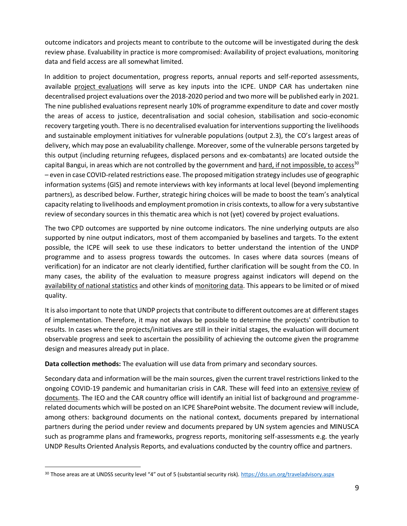outcome indicators and projects meant to contribute to the outcome will be investigated during the desk review phase. Evaluability in practice is more compromised: Availability of project evaluations, monitoring data and field access are all somewhat limited.

In addition to project documentation, progress reports, annual reports and self-reported assessments, available project evaluations will serve as key inputs into the ICPE. UNDP CAR has undertaken nine decentralised project evaluations over the 2018-2020 period and two more will be published early in 2021. The nine published evaluations represent nearly 10% of programme expenditure to date and cover mostly the areas of access to justice, decentralisation and social cohesion, stabilisation and socio-economic recovery targeting youth. There is no decentralised evaluation for interventions supporting the livelihoods and sustainable employment initiatives for vulnerable populations (output 2.3), the CO's largest areas of delivery, which may pose an evaluability challenge. Moreover, some of the vulnerable persons targeted by this output (including returning refugees, displaced persons and ex-combatants) are located outside the capital Bangui, in areas which are not controlled by the government and hard, if not impossible, to access<sup>30</sup> – even in case COVID-related restrictions ease. The proposed mitigation strategy includes use of geographic information systems (GIS) and remote interviews with key informants at local level (beyond implementing partners), as described below. Further, strategic hiring choices will be made to boost the team's analytical capacity relating to livelihoods and employment promotion in crisis contexts, to allow for a very substantive review of secondary sources in this thematic area which is not (yet) covered by project evaluations.

The two CPD outcomes are supported by nine outcome indicators. The nine underlying outputs are also supported by nine output indicators, most of them accompanied by baselines and targets. To the extent possible, the ICPE will seek to use these indicators to better understand the intention of the UNDP programme and to assess progress towards the outcomes. In cases where data sources (means of verification) for an indicator are not clearly identified, further clarification will be sought from the CO. In many cases, the ability of the evaluation to measure progress against indicators will depend on the availability of national statistics and other kinds of monitoring data. This appears to be limited or of mixed quality.

It is also important to note that UNDP projects that contribute to different outcomes are at different stages of implementation. Therefore, it may not always be possible to determine the projects' contribution to results. In cases where the projects/initiatives are still in their initial stages, the evaluation will document observable progress and seek to ascertain the possibility of achieving the outcome given the programme design and measures already put in place.

**Data collection methods:** The evaluation will use data from primary and secondary sources.

Secondary data and information will be the main sources, given the current travel restrictions linked to the ongoing COVID-19 pandemic and humanitarian crisis in CAR. These will feed into an extensive review of documents. The IEO and the CAR country office will identify an initial list of background and programmerelated documents which will be posted on an ICPE SharePoint website. The document review will include, among others: background documents on the national context, documents prepared by international partners during the period under review and documents prepared by UN system agencies and MINUSCA such as programme plans and frameworks, progress reports, monitoring self-assessments e.g. the yearly UNDP Results Oriented Analysis Reports, and evaluations conducted by the country office and partners.

<sup>30</sup> Those areas are at UNDSS security level "4" out of 5 (substantial security risk[\).](about:blank) [https://dss.un.org/traveladvisory.aspx](about:blank)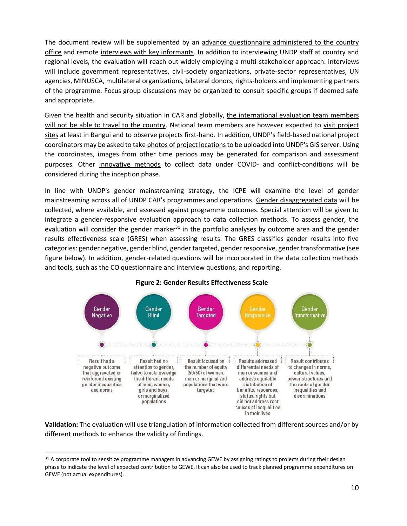The document review will be supplemented by an advance questionnaire administered to the country office and remote interviews with key informants. In addition to interviewing UNDP staff at country and regional levels, the evaluation will reach out widely employing a multi-stakeholder approach: interviews will include government representatives, civil-society organizations, private-sector representatives, UN agencies, MINUSCA, multilateral organizations, bilateral donors, rights-holders and implementing partners of the programme. Focus group discussions may be organized to consult specific groups if deemed safe and appropriate.

Given the health and security situation in CAR and globally, the international evaluation team members will not be able to travel to the country. National team members are however expected to visit project sites at least in Bangui and to observe projects first-hand. In addition, UNDP's field-based national project coordinators may be asked to take photos of project locations to be uploaded into UNDP's GIS server. Using the coordinates, images from other time periods may be generated for comparison and assessment purposes. Other innovative methods to collect data under COVID- and conflict-conditions will be considered during the inception phase.

In line with UNDP's gender mainstreaming strategy, the ICPE will examine the level of gender mainstreaming across all of UNDP CAR's programmes and operations. Gender disaggregated data will be collected, where available, and assessed against programme outcomes. Special attention will be given to integrate a gender-responsive evaluation approach to data collection methods. To assess gender, the evaluation will consider the gender marker $31$  in the portfolio analyses by outcome area and the gender results effectiveness scale (GRES) when assessing results. The GRES classifies gender results into five categories: gender negative, gender blind, gender targeted, gender responsive, gender transformative (see figure below). In addition, gender-related questions will be incorporated in the data collection methods and tools, such as the CO questionnaire and interview questions, and reporting.



### **Figure 2: Gender Results Effectiveness Scale**

**Validation:** The evaluation will use triangulation of information collected from different sources and/or by different methods to enhance the validity of findings.

<sup>31</sup> A corporate tool to sensitize programme managers in advancing GEWE by assigning ratings to projects during their design phase to indicate the level of expected contribution to GEWE. It can also be used to track planned programme expenditures on GEWE (not actual expenditures).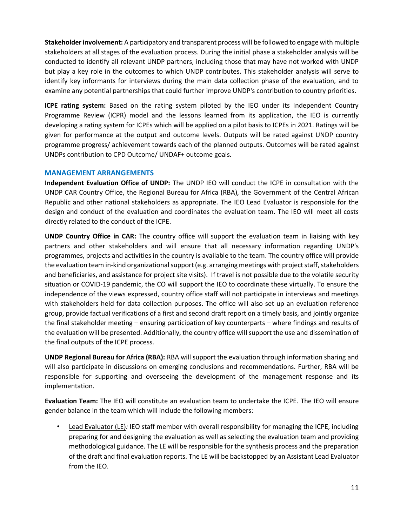**Stakeholder involvement:** A participatory and transparent process will be followed to engage with multiple stakeholders at all stages of the evaluation process. During the initial phase a stakeholder analysis will be conducted to identify all relevant UNDP partners, including those that may have not worked with UNDP but play a key role in the outcomes to which UNDP contributes. This stakeholder analysis will serve to identify key informants for interviews during the main data collection phase of the evaluation, and to examine any potential partnerships that could further improve UNDP's contribution to country priorities.

**ICPE rating system:** Based on the rating system piloted by the IEO under its Independent Country Programme Review (ICPR) model and the lessons learned from its application, the IEO is currently developing a rating system for ICPEs which will be applied on a pilot basis to ICPEs in 2021. Ratings will be given for performance at the output and outcome levels. Outputs will be rated against UNDP country programme progress/ achievement towards each of the planned outputs. Outcomes will be rated against UNDPs contribution to CPD Outcome/ UNDAF+ outcome goals.

## **MANAGEMENT ARRANGEMENTS**

**Independent Evaluation Office of UNDP:** The UNDP IEO will conduct the ICPE in consultation with the UNDP CAR Country Office, the Regional Bureau for Africa (RBA), the Government of the Central African Republic and other national stakeholders as appropriate. The IEO Lead Evaluator is responsible for the design and conduct of the evaluation and coordinates the evaluation team. The IEO will meet all costs directly related to the conduct of the ICPE.

**UNDP Country Office in CAR:** The country office will support the evaluation team in liaising with key partners and other stakeholders and will ensure that all necessary information regarding UNDP's programmes, projects and activities in the country is available to the team. The country office will provide the evaluation team in-kind organizational support (e.g. arranging meetings with project staff, stakeholders and beneficiaries, and assistance for project site visits). If travel is not possible due to the volatile security situation or COVID-19 pandemic, the CO will support the IEO to coordinate these virtually. To ensure the independence of the views expressed, country office staff will not participate in interviews and meetings with stakeholders held for data collection purposes. The office will also set up an evaluation reference group, provide factual verifications of a first and second draft report on a timely basis, and jointly organize the final stakeholder meeting – ensuring participation of key counterparts – where findings and results of the evaluation will be presented. Additionally, the country office will support the use and dissemination of the final outputs of the ICPE process.

**UNDP Regional Bureau for Africa (RBA):** RBA will support the evaluation through information sharing and will also participate in discussions on emerging conclusions and recommendations. Further, RBA will be responsible for supporting and overseeing the development of the management response and its implementation.

**Evaluation Team:** The IEO will constitute an evaluation team to undertake the ICPE. The IEO will ensure gender balance in the team which will include the following members:

• Lead Evaluator (LE)*:* IEO staff member with overall responsibility for managing the ICPE, including preparing for and designing the evaluation as well as selecting the evaluation team and providing methodological guidance. The LE will be responsible for the synthesis process and the preparation of the draft and final evaluation reports. The LE will be backstopped by an Assistant Lead Evaluator from the IEO.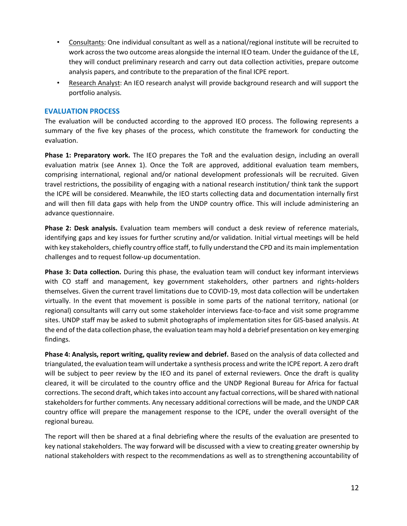- Consultants: One individual consultant as well as a national/regional institute will be recruited to work across the two outcome areas alongside the internal IEO team. Under the guidance of the LE, they will conduct preliminary research and carry out data collection activities, prepare outcome analysis papers, and contribute to the preparation of the final ICPE report.
- Research Analyst: An IEO research analyst will provide background research and will support the portfolio analysis.

# **EVALUATION PROCESS**

The evaluation will be conducted according to the approved IEO process. The following represents a summary of the five key phases of the process, which constitute the framework for conducting the evaluation.

**Phase 1: Preparatory work.** The IEO prepares the ToR and the evaluation design, including an overall evaluation matrix (see Annex 1). Once the ToR are approved, additional evaluation team members, comprising international, regional and/or national development professionals will be recruited. Given travel restrictions, the possibility of engaging with a national research institution/ think tank the support the ICPE will be considered. Meanwhile, the IEO starts collecting data and documentation internally first and will then fill data gaps with help from the UNDP country office. This will include administering an advance questionnaire.

**Phase 2: Desk analysis.** Evaluation team members will conduct a desk review of reference materials, identifying gaps and key issues for further scrutiny and/or validation. Initial virtual meetings will be held with key stakeholders, chiefly country office staff, to fully understand the CPD and its main implementation challenges and to request follow-up documentation.

**Phase 3: Data collection.** During this phase, the evaluation team will conduct key informant interviews with CO staff and management, key government stakeholders, other partners and rights-holders themselves. Given the current travel limitations due to COVID-19, most data collection will be undertaken virtually. In the event that movement is possible in some parts of the national territory, national (or regional) consultants will carry out some stakeholder interviews face-to-face and visit some programme sites. UNDP staff may be asked to submit photographs of implementation sites for GIS-based analysis. At the end of the data collection phase, the evaluation team may hold a debrief presentation on key emerging findings.

Phase 4: Analysis, report writing, quality review and debrief. Based on the analysis of data collected and triangulated, the evaluation team will undertake a synthesis process and write the ICPE report. A zero draft will be subject to peer review by the IEO and its panel of external reviewers. Once the draft is quality cleared, it will be circulated to the country office and the UNDP Regional Bureau for Africa for factual corrections. The second draft, which takes into account any factual corrections, will be shared with national stakeholders for further comments. Any necessary additional corrections will be made, and the UNDP CAR country office will prepare the management response to the ICPE, under the overall oversight of the regional bureau.

The report will then be shared at a final debriefing where the results of the evaluation are presented to key national stakeholders. The way forward will be discussed with a view to creating greater ownership by national stakeholders with respect to the recommendations as well as to strengthening accountability of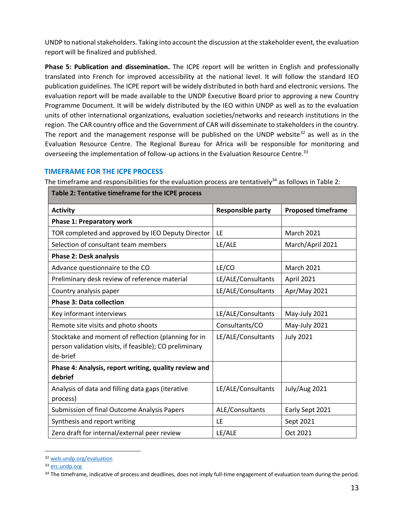UNDP to national stakeholders. Taking into account the discussion at the stakeholder event, the evaluation report will be finalized and published.

**Phase 5: Publication and dissemination.** The ICPE report will be written in English and professionally translated into French for improved accessibility at the national level. It will follow the standard IEO publication guidelines. The ICPE report will be widely distributed in both hard and electronic versions. The evaluation report will be made available to the UNDP Executive Board prior to approving a new Country Programme Document. It will be widely distributed by the IEO within UNDP as well as to the evaluation units of other international organizations, evaluation societies/networks and research institutions in the region. The CAR country office and the Government of CAR will disseminate to stakeholders in the country. The report and the management response will be published on the UNDP website<sup>32</sup> as well as in the Evaluation Resource Centre. The Regional Bureau for Africa will be responsible for monitoring and overseeing the implementation of follow-up actions in the Evaluation Resource Centre.<sup>33</sup>

# **TIMEFRAME FOR THE ICPE PROCESS**

The timeframe and responsibilities for the evaluation process are tentatively<sup>34</sup> as follows in Table 2:

| <b>Activity</b>                                                                                                           | <b>Responsible party</b> | <b>Proposed timeframe</b> |
|---------------------------------------------------------------------------------------------------------------------------|--------------------------|---------------------------|
| <b>Phase 1: Preparatory work</b>                                                                                          |                          |                           |
| TOR completed and approved by IEO Deputy Director                                                                         | LE                       | <b>March 2021</b>         |
| Selection of consultant team members                                                                                      | LE/ALE                   | March/April 2021          |
| <b>Phase 2: Desk analysis</b>                                                                                             |                          |                           |
| Advance questionnaire to the CO                                                                                           | LE/CO                    | <b>March 2021</b>         |
| Preliminary desk review of reference material                                                                             | LE/ALE/Consultants       | April 2021                |
| Country analysis paper                                                                                                    | LE/ALE/Consultants       | Apr/May 2021              |
| <b>Phase 3: Data collection</b>                                                                                           |                          |                           |
| Key informant interviews                                                                                                  | LE/ALE/Consultants       | May-July 2021             |
| Remote site visits and photo shoots                                                                                       | Consultants/CO           | May-July 2021             |
| Stocktake and moment of reflection (planning for in<br>person validation visits, if feasible); CO preliminary<br>de-brief | LE/ALE/Consultants       | <b>July 2021</b>          |
| Phase 4: Analysis, report writing, quality review and<br>debrief                                                          |                          |                           |
| Analysis of data and filling data gaps (iterative<br>process)                                                             | LE/ALE/Consultants       | July/Aug 2021             |
| Submission of final Outcome Analysis Papers                                                                               | ALE/Consultants          | Early Sept 2021           |
| Synthesis and report writing                                                                                              | LE                       | Sept 2021                 |
| Zero draft for internal/external peer review                                                                              | LE/ALE                   | Oct 2021                  |

| Table 2: Tentative timeframe for the ICPE process |
|---------------------------------------------------|
|---------------------------------------------------|

<sup>32</sup> [web.undp.org/evaluation](about:blank) 

<sup>33</sup> [erc.undp.org](about:blank)

<sup>34</sup> The timeframe, indicative of process and deadlines, does not imply full-time engagement of evaluation team during the period.